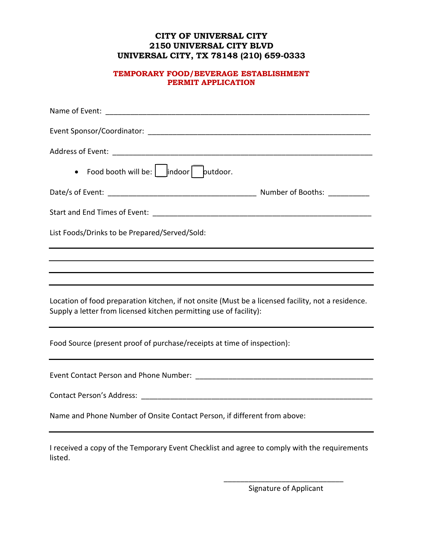### **CITY OF UNIVERSAL CITY 2150 UNIVERSAL CITY BLVD UNIVERSAL CITY, TX 78148 (210) 659-0333**

#### **TEMPORARY FOOD/BEVERAGE ESTABLISHMENT PERMIT APPLICATION**

| List Foods/Drinks to be Prepared/Served/Sold:                                                                                                                            |  |
|--------------------------------------------------------------------------------------------------------------------------------------------------------------------------|--|
| ,我们也不会有什么。""我们的人,我们也不会有什么?""我们的人,我们也不会有什么?""我们的人,我们也不会有什么?""我们的人,我们也不会有什么?""我们的人<br>,我们也不会有什么。""我们的人,我们也不会有什么?""我们的人,我们也不会有什么?""我们的人,我们也不会有什么?""我们的人,我们也不会有什么?""我们的人     |  |
| ,我们也不能在这里的时候,我们也不能在这里的时候,我们也不能不能不能不能不能不能不能不能不能不能不能不能不能不能不能。<br>第2012章 我们的时候,我们的时候,我们的时候,我们的时候,我们的时候,我们的时候,我们的时候,我们的时候,我们的时候,我们的时候,我们的时候,我们的时候,我                          |  |
| Location of food preparation kitchen, if not onsite (Must be a licensed facility, not a residence.<br>Supply a letter from licensed kitchen permitting use of facility): |  |
| Food Source (present proof of purchase/receipts at time of inspection):                                                                                                  |  |
|                                                                                                                                                                          |  |
|                                                                                                                                                                          |  |
| Name and Phone Number of Onsite Contact Person, if different from above:                                                                                                 |  |
| I received a copy of the Temporary Event Checklist and agree to comply with the requirements<br>listed.                                                                  |  |

\_\_\_\_\_\_\_\_\_\_\_\_\_\_\_\_\_\_\_\_\_\_\_\_\_\_\_\_\_ Signature of Applicant